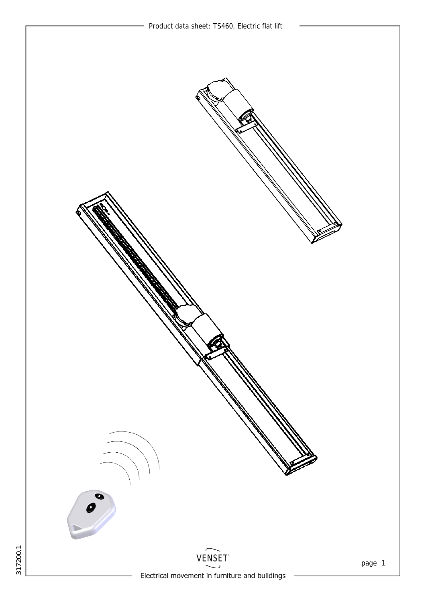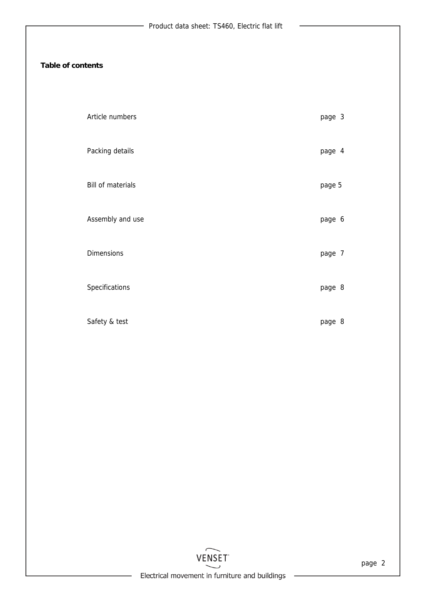## **Table of contents**

| Article numbers   | page 3 |
|-------------------|--------|
| Packing details   | page 4 |
| Bill of materials | page 5 |
| Assembly and use  | page 6 |
| <b>Dimensions</b> | page 7 |
| Specifications    | page 8 |
| Safety & test     | page 8 |



 $\overline{\phantom{0}}$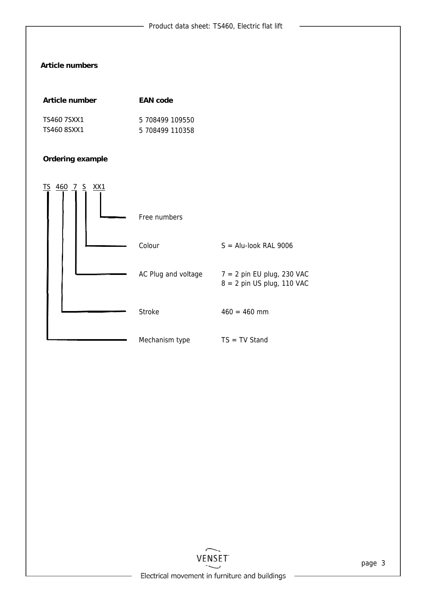# **Article numbers**

| Article number | <b>EAN</b> code |
|----------------|-----------------|
| TS460 7SXX1    | 5 708499 109550 |
| TS460 8SXX1    | 5 708499 110358 |

# **Ordering example**

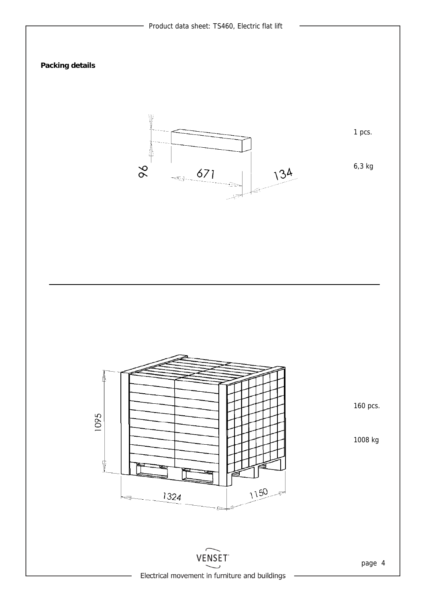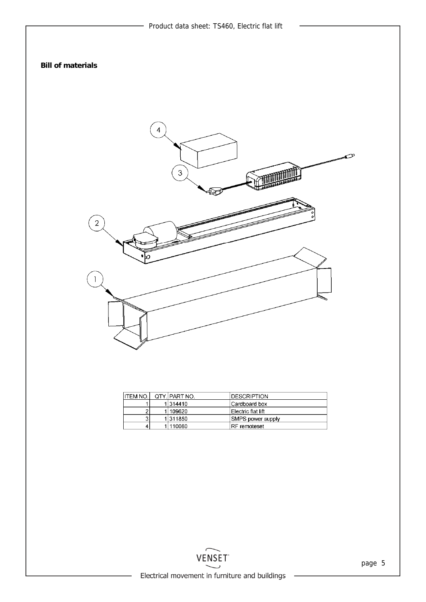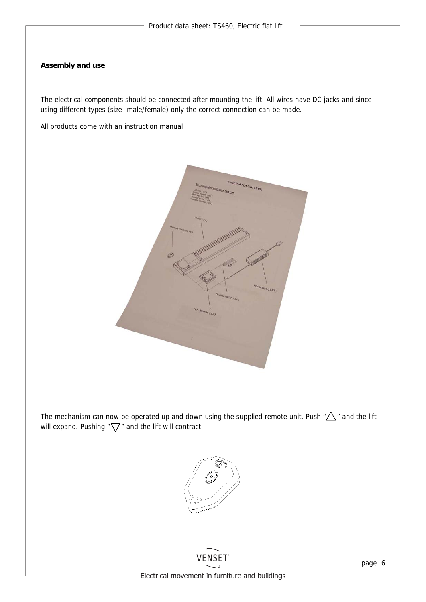#### **Assembly and use**

The electrical components should be connected after mounting the lift. All wires have DC jacks and since using different types (size- male/female) only the correct connection can be made.

All products come with an instruction manual



The mechanism can now be operated up and down using the supplied remote unit. Push  $\sqrt[n]{\triangle}$  " and the lift will expand. Pushing " $\nabla$ " and the lift will contract.



VENSET Electrical movement in furniture and buildings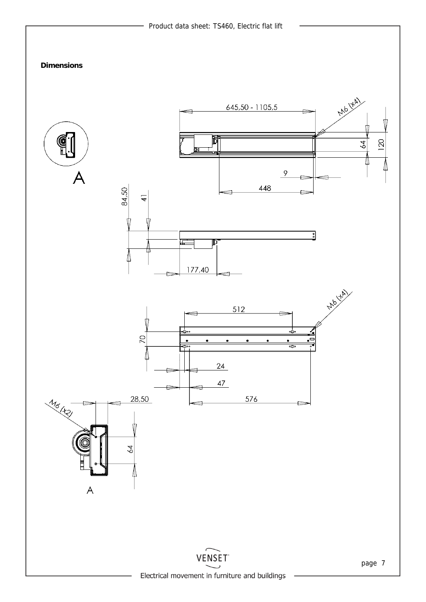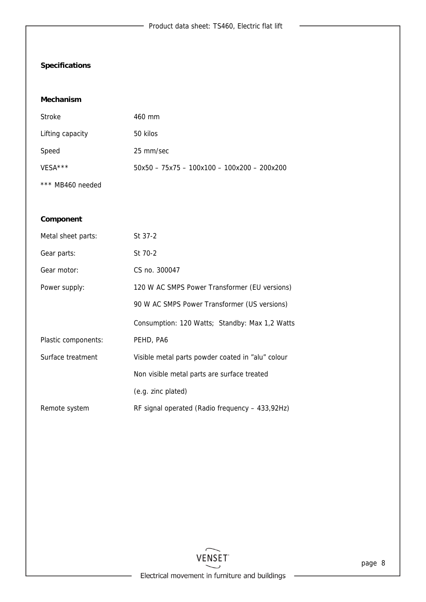$\overline{\phantom{a}}$ 

# **Specifications**

#### **Mechanism**

| Stroke           | 460 mm                                        |
|------------------|-----------------------------------------------|
| Lifting capacity | 50 kilos                                      |
| Speed            | 25 mm/sec                                     |
| $VFSA***$        | $50x50 - 75x75 - 100x100 - 100x200 - 200x200$ |
| *** MB460 needed |                                               |

### **Component**

| Metal sheet parts:  | St 37-2                                           |
|---------------------|---------------------------------------------------|
| Gear parts:         | St 70-2                                           |
| Gear motor:         | CS no. 300047                                     |
| Power supply:       | 120 W AC SMPS Power Transformer (EU versions)     |
|                     | 90 W AC SMPS Power Transformer (US versions)      |
|                     | Consumption: 120 Watts; Standby: Max 1,2 Watts    |
| Plastic components: | PEHD, PA6                                         |
| Surface treatment   | Visible metal parts powder coated in "alu" colour |
|                     | Non visible metal parts are surface treated       |
|                     | (e.g. zinc plated)                                |
| Remote system       | RF signal operated (Radio frequency - 433,92Hz)   |

 $\overline{\phantom{0}}$